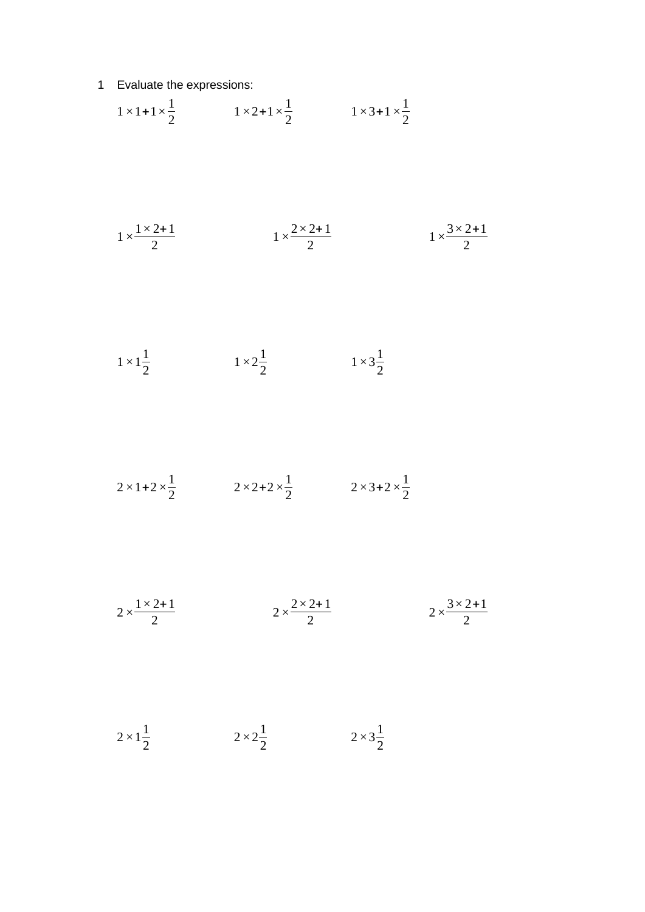Evaluate the expressions:

$$
1 \times 1 + 1 \times \frac{1}{2}
$$
  $1 \times 2 + 1 \times \frac{1}{2}$   $1 \times 3 + 1 \times \frac{1}{2}$ 

$$
1 \times \frac{1 \times 2 + 1}{2}
$$
\n
$$
1 \times \frac{2 \times 2 + 1}{2}
$$
\n
$$
1 \times \frac{3 \times 2 + 1}{2}
$$

$$
1 \times 1\frac{1}{2} \qquad \qquad 1 \times 2\frac{1}{2} \qquad \qquad 1 \times 3\frac{1}{2}
$$

$$
2 \times 1 + 2 \times \frac{1}{2}
$$
  $2 \times 2 + 2 \times \frac{1}{2}$   $2 \times 3 + 2 \times \frac{1}{2}$ 

$$
2 \times \frac{1 \times 2 + 1}{2}
$$
\n
$$
2 \times \frac{2 \times 2 + 1}{2}
$$
\n
$$
2 \times \frac{3 \times 2 + 1}{2}
$$

 $2 \times 1^{\frac{1}{2}}$  $\frac{1}{2}$   $2 \times 2\frac{1}{2}$  $\frac{1}{2}$   $2 \times 3\frac{1}{2}$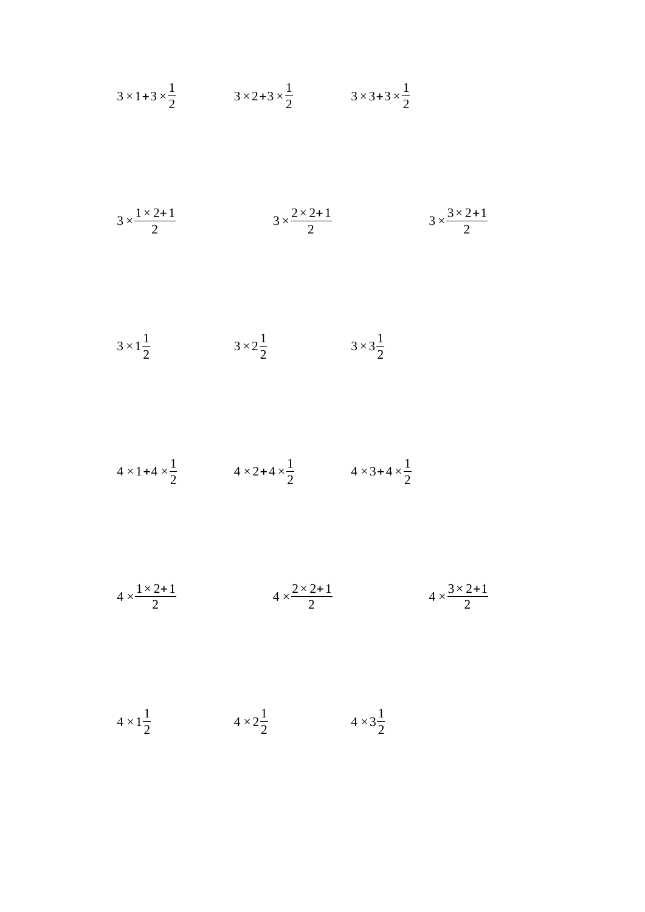$$
3 \times 1 + 3 \times \frac{1}{2}
$$
\n
$$
3 \times 2 + 3 \times \frac{1}{2}
$$
\n
$$
3 \times 2 + 3 \times \frac{1}{2}
$$
\n
$$
3 \times \frac{1 \times 2 + 1}{2}
$$
\n
$$
3 \times \frac{2 \times 2 + 1}{2}
$$
\n
$$
3 \times \frac{3 \times 2 + 1}{2}
$$
\n
$$
3 \times \frac{1}{2}
$$
\n
$$
3 \times \frac{1}{2}
$$
\n
$$
3 \times \frac{1}{2}
$$
\n
$$
3 \times \frac{1}{2}
$$
\n
$$
3 \times \frac{1}{2}
$$
\n
$$
3 \times \frac{1}{2}
$$
\n
$$
4 \times 1 + 4 \times \frac{1}{2}
$$
\n
$$
4 \times 2 + 4 \times \frac{1}{2}
$$
\n
$$
4 \times \frac{2 \times 2 + 1}{2}
$$
\n
$$
4 \times \frac{3 \times 2 + 1}{2}
$$
\n
$$
4 \times \frac{3 \times 2 + 1}{2}
$$

 $4 \times 1^{\frac{1}{2}}$  $\frac{1}{2}$   $4 \times 2\frac{1}{2}$  $\frac{1}{2}$   $4 \times 3\frac{1}{2}$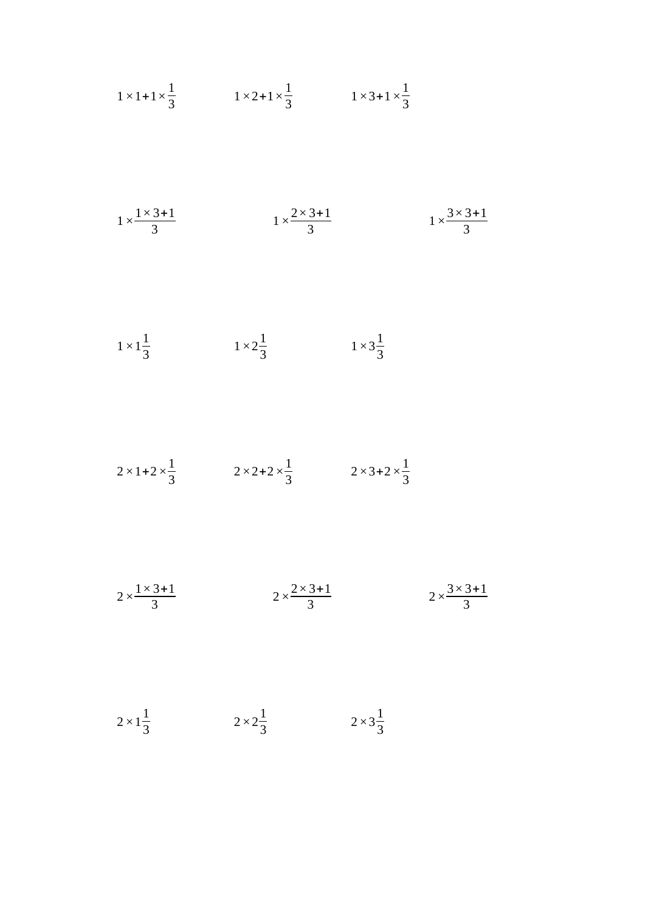$$
1 \times 1 + 1 \times \frac{1}{3}
$$
  
\n $1 \times 2 + 1 \times \frac{1}{3}$   
\n $1 \times \frac{1 \times 3 + 1}{3}$   
\n $1 \times \frac{1 \times 3 + 1}{3}$   
\n $1 \times \frac{1}{3}$   
\n $1 \times 2\frac{1}{3}$   
\n $1 \times 2\frac{1}{3}$   
\n $1 \times 2\frac{1}{3}$   
\n $1 \times 3\frac{1}{3}$   
\n $1 \times 3\frac{1}{3}$   
\n $1 \times 3\frac{1}{3}$   
\n $2 \times 1 + 2 \times \frac{1}{3}$   
\n $2 \times 2 + 2 \times \frac{1}{3}$   
\n $2 \times 2 + 2 \times \frac{1}{3}$   
\n $2 \times 3 + 2 \times \frac{1}{3}$ 

$$
2 \times \frac{1 \times 3 + 1}{3}
$$
\n
$$
2 \times \frac{2 \times 3 + 1}{3}
$$
\n
$$
2 \times \frac{3 \times 3 + 1}{3}
$$

 $2 \times 1^{\frac{1}{2}}$  $\frac{1}{3}$   $2 \times 2\frac{1}{3}$  $\frac{1}{3}$   $2 \times 3\frac{1}{3}$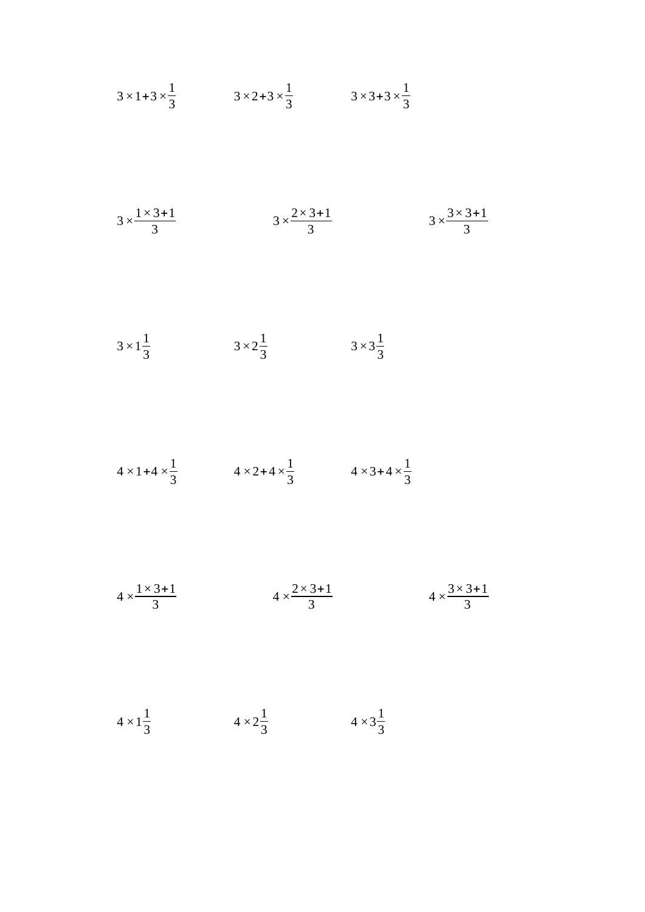$$
3 \times 1 + 3 \times \frac{1}{3}
$$
  
\n $3 \times 2 + 3 \times \frac{1}{3}$   
\n $3 \times 3 + 3 \times \frac{1}{3}$   
\n $3 \times \frac{1 \times 3 + 1}{3}$   
\n $3 \times \frac{2 \times 3 + 1}{3}$   
\n $3 \times \frac{2 \times 3 + 1}{3}$   
\n $3 \times 2 + \frac{1}{3}$   
\n $3 \times 2 + \frac{1}{3}$   
\n $3 \times 3 + \frac{1}{3}$   
\n $3 \times 3 + \frac{1}{3}$ 

$$
4 \times 1 + 4 \times \frac{1}{3}
$$
  $4 \times 2 + 4 \times \frac{1}{3}$   $4 \times 3 + 4 \times \frac{1}{3}$ 

$$
4 \times \frac{1 \times 3 + 1}{3}
$$
\n
$$
4 \times \frac{2 \times 3 + 1}{3}
$$
\n
$$
4 \times \frac{3 \times 3 + 1}{3}
$$

 $4 \times 1^{\frac{1}{2}}$  $\frac{1}{3}$   $4 \times 2\frac{1}{3}$  $\frac{1}{3}$   $4 \times 3\frac{1}{3}$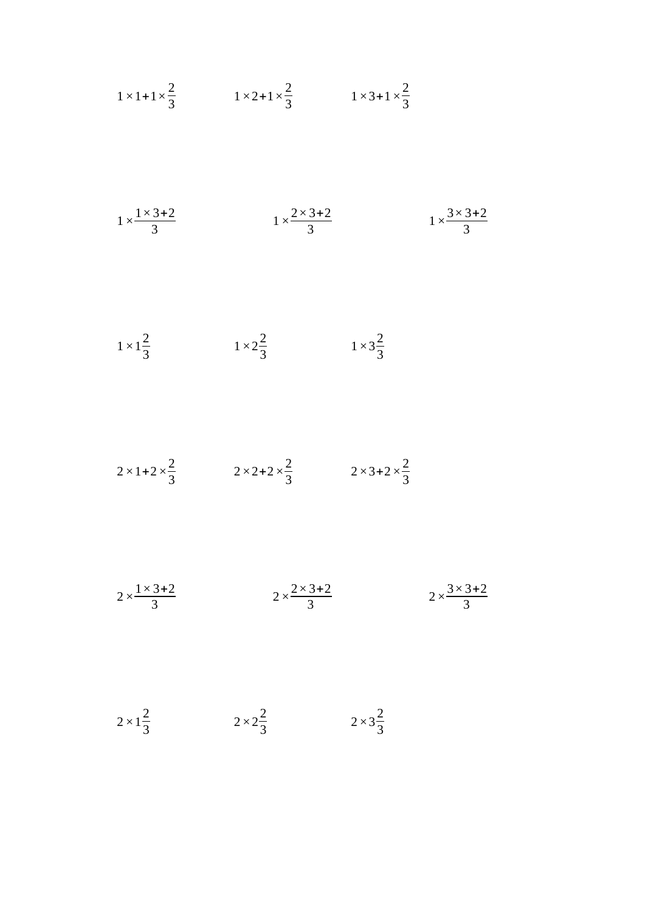$$
1 \times 1 + 1 \times \frac{2}{3}
$$
\n
$$
1 \times 2 + 1 \times \frac{2}{3}
$$
\n
$$
1 \times 3 + 1 \times \frac{2}{3}
$$
\n
$$
1 \times \frac{1 \times 3 + 2}{3}
$$
\n
$$
1 \times \frac{2 \times 3 + 2}{3}
$$
\n
$$
1 \times \frac{2}{3}
$$
\n
$$
1 \times \frac{2}{3}
$$
\n
$$
1 \times 3\frac{2}{3}
$$
\n
$$
1 \times 3\frac{2}{3}
$$
\n
$$
2 \times 1 + 2 \times \frac{2}{3}
$$
\n
$$
2 \times 2 + 2 \times \frac{2}{3}
$$
\n
$$
2 \times 3 + 2 \times \frac{2}{3}
$$
\n
$$
2 \times \frac{1 \times 3 + 2}{3}
$$
\n
$$
2 \times \frac{2 \times 3 + 2}{3}
$$
\n
$$
2 \times \frac{2 \times 3 + 2}{3}
$$
\n
$$
2 \times \frac{3 \times 3 + 2}{3}
$$

 $2 \times 1^{\frac{2}{2}}$ 

 $\frac{2}{3}$   $2 \times 2\frac{2}{3}$ 

 $2 \times 3^{\frac{2}{2}}$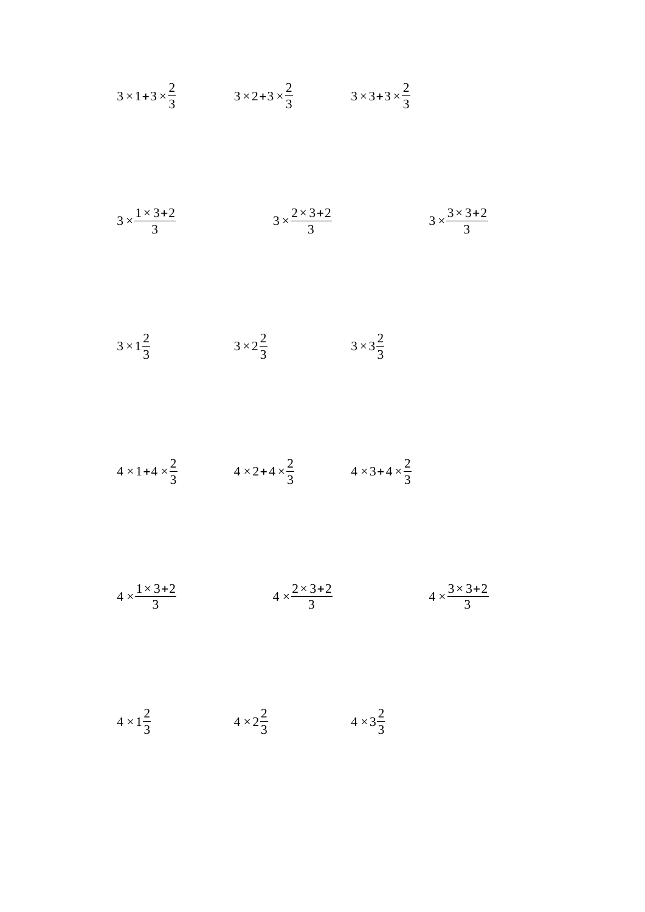$$
3 \times 1 + 3 \times \frac{2}{3}
$$
\n
$$
3 \times 2 + 3 \times \frac{2}{3}
$$
\n
$$
3 \times 3 + 3 \times \frac{2}{3}
$$
\n
$$
3 \times \frac{1 \times 3 + 2}{3}
$$
\n
$$
3 \times \frac{2 \times 3 + 2}{3}
$$
\n
$$
3 \times \frac{2 \times 3 + 2}{3}
$$
\n
$$
3 \times 2 \frac{2}{3}
$$
\n
$$
3 \times 3 \frac{2}{3}
$$
\n
$$
3 \times 3 \frac{2}{3}
$$
\n
$$
3 \times 3 \frac{2}{3}
$$
\n
$$
3 \times 3 \frac{2}{3}
$$
\n
$$
4 \times 1 + 4 \times \frac{2}{3}
$$
\n
$$
4 \times 2 + 4 \times \frac{2}{3}
$$
\n
$$
4 \times 3 + 4 \times \frac{2}{3}
$$
\n
$$
4 \times \frac{3 \times 3 + 2}{3}
$$
\n
$$
4 \times \frac{3 \times 3 + 2}{3}
$$

 $\frac{2}{3}$   $4 \times 3\frac{2}{3}$ 

 $4 \times 1^{\frac{2}{5}}$ 

 $\frac{2}{3}$   $4 \times 2\frac{2}{3}$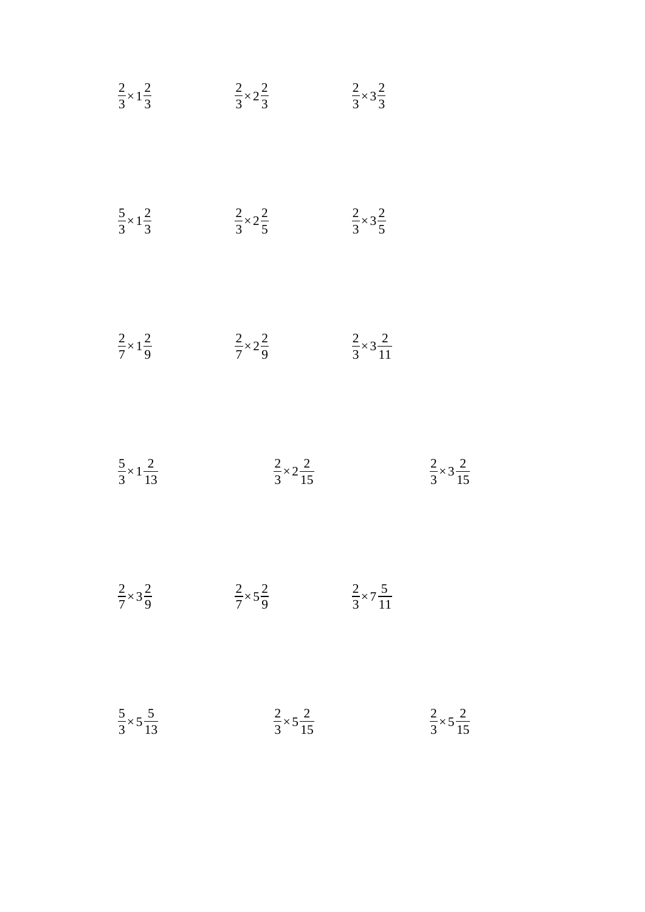| $\frac{2}{3}\times 1\frac{2}{3}$    | $\frac{2}{3} \times 2\frac{2}{3}$ | $\frac{2}{3}\times 3\frac{2}{3}$    |                                     |
|-------------------------------------|-----------------------------------|-------------------------------------|-------------------------------------|
| $\frac{5}{3}\times 1\frac{2}{3}$    | $rac{2}{3}\times 2\frac{2}{5}$    | $\frac{2}{3}\times 3\frac{2}{5}$    |                                     |
| $\frac{2}{7} \times 1\frac{2}{9}$   | $\frac{2}{7} \times 2\frac{2}{9}$ | $\frac{2}{3} \times 3\frac{2}{11}$  |                                     |
| $\frac{5}{3} \times 1 \frac{2}{13}$ | $rac{2}{3} \times 2 \frac{2}{15}$ |                                     | $\frac{2}{3} \times 3 \frac{2}{15}$ |
| $\frac{2}{7}\times 3\frac{2}{9}$    | $\frac{2}{7}\times 5\frac{2}{9}$  | $\frac{2}{3} \times 7 \frac{5}{11}$ |                                     |
| $\frac{5}{3} \times 5\frac{5}{13}$  | $rac{2}{3} \times 5\frac{2}{15}$  |                                     | $rac{2}{3} \times 5\frac{2}{15}$    |